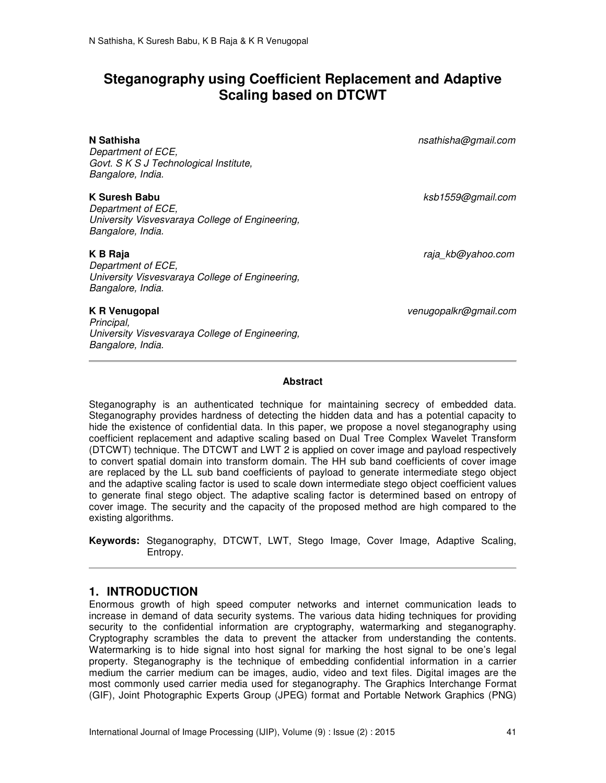# **Steganography using Coefficient Replacement and Adaptive Scaling based on DTCWT**

**N Sathisha** *nsathisha@gmail.com*

*Department of ECE, Govt. S K S J Technological Institute, Bangalore, India.* 

## **K Suresh Babu** *ksb1559@gmail.com*

*Department of ECE, University Visvesvaraya College of Engineering, Bangalore, India.* 

*Principal,* 

*Bangalore, India.*

*Department of ECE, University Visvesvaraya College of Engineering, Bangalore, India.* 

*University Visvesvaraya College of Engineering,* 

**K B Raja** *raja\_kb@yahoo.com*

**K R Venugopal** *venugopalkr@gmail.com*

#### **Abstract**

Steganography is an authenticated technique for maintaining secrecy of embedded data. Steganography provides hardness of detecting the hidden data and has a potential capacity to hide the existence of confidential data. In this paper, we propose a novel steganography using coefficient replacement and adaptive scaling based on Dual Tree Complex Wavelet Transform (DTCWT) technique. The DTCWT and LWT 2 is applied on cover image and payload respectively to convert spatial domain into transform domain. The HH sub band coefficients of cover image are replaced by the LL sub band coefficients of payload to generate intermediate stego object and the adaptive scaling factor is used to scale down intermediate stego object coefficient values to generate final stego object. The adaptive scaling factor is determined based on entropy of cover image. The security and the capacity of the proposed method are high compared to the existing algorithms.

**Keywords:** Steganography, DTCWT, LWT, Stego Image, Cover Image, Adaptive Scaling, Entropy.

# **1. INTRODUCTION**

Enormous growth of high speed computer networks and internet communication leads to increase in demand of data security systems. The various data hiding techniques for providing security to the confidential information are cryptography, watermarking and steganography. Cryptography scrambles the data to prevent the attacker from understanding the contents. Watermarking is to hide signal into host signal for marking the host signal to be one's legal property. Steganography is the technique of embedding confidential information in a carrier medium the carrier medium can be images, audio, video and text files. Digital images are the most commonly used carrier media used for steganography. The Graphics Interchange Format (GIF), Joint Photographic Experts Group (JPEG) format and Portable Network Graphics (PNG)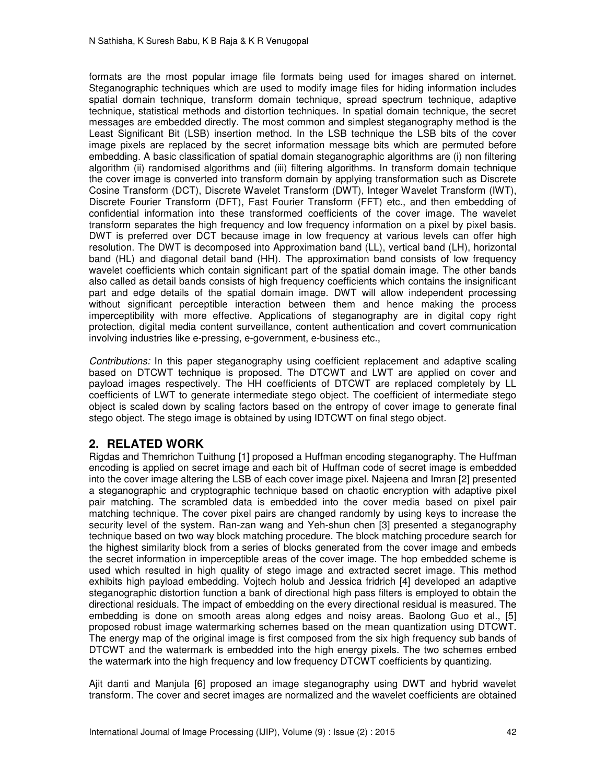formats are the most popular image file formats being used for images shared on internet. Steganographic techniques which are used to modify image files for hiding information includes spatial domain technique, transform domain technique, spread spectrum technique, adaptive technique, statistical methods and distortion techniques. In spatial domain technique, the secret messages are embedded directly. The most common and simplest steganography method is the Least Significant Bit (LSB) insertion method. In the LSB technique the LSB bits of the cover image pixels are replaced by the secret information message bits which are permuted before embedding. A basic classification of spatial domain steganographic algorithms are (i) non filtering algorithm (ii) randomised algorithms and (iii) filtering algorithms. In transform domain technique the cover image is converted into transform domain by applying transformation such as Discrete Cosine Transform (DCT), Discrete Wavelet Transform (DWT), Integer Wavelet Transform (IWT), Discrete Fourier Transform (DFT), Fast Fourier Transform (FFT) etc., and then embedding of confidential information into these transformed coefficients of the cover image. The wavelet transform separates the high frequency and low frequency information on a pixel by pixel basis. DWT is preferred over DCT because image in low frequency at various levels can offer high resolution. The DWT is decomposed into Approximation band (LL), vertical band (LH), horizontal band (HL) and diagonal detail band (HH). The approximation band consists of low frequency wavelet coefficients which contain significant part of the spatial domain image. The other bands also called as detail bands consists of high frequency coefficients which contains the insignificant part and edge details of the spatial domain image. DWT will allow independent processing without significant perceptible interaction between them and hence making the process imperceptibility with more effective. Applications of steganography are in digital copy right protection, digital media content surveillance, content authentication and covert communication involving industries like e-pressing, e-government, e-business etc.,

*Contributions:* In this paper steganography using coefficient replacement and adaptive scaling based on DTCWT technique is proposed. The DTCWT and LWT are applied on cover and payload images respectively. The HH coefficients of DTCWT are replaced completely by LL coefficients of LWT to generate intermediate stego object. The coefficient of intermediate stego object is scaled down by scaling factors based on the entropy of cover image to generate final stego object. The stego image is obtained by using IDTCWT on final stego object.

# **2. RELATED WORK**

Rigdas and Themrichon Tuithung [1] proposed a Huffman encoding steganography. The Huffman encoding is applied on secret image and each bit of Huffman code of secret image is embedded into the cover image altering the LSB of each cover image pixel. Najeena and Imran [2] presented a steganographic and cryptographic technique based on chaotic encryption with adaptive pixel pair matching. The scrambled data is embedded into the cover media based on pixel pair matching technique. The cover pixel pairs are changed randomly by using keys to increase the security level of the system. Ran-zan wang and Yeh-shun chen [3] presented a steganography technique based on two way block matching procedure. The block matching procedure search for the highest similarity block from a series of blocks generated from the cover image and embeds the secret information in imperceptible areas of the cover image. The hop embedded scheme is used which resulted in high quality of stego image and extracted secret image. This method exhibits high payload embedding. Vojtech holub and Jessica fridrich [4] developed an adaptive steganographic distortion function a bank of directional high pass filters is employed to obtain the directional residuals. The impact of embedding on the every directional residual is measured. The embedding is done on smooth areas along edges and noisy areas. Baolong Guo et al., [5] proposed robust image watermarking schemes based on the mean quantization using DTCWT. The energy map of the original image is first composed from the six high frequency sub bands of DTCWT and the watermark is embedded into the high energy pixels. The two schemes embed the watermark into the high frequency and low frequency DTCWT coefficients by quantizing.

Ajit danti and Manjula [6] proposed an image steganography using DWT and hybrid wavelet transform. The cover and secret images are normalized and the wavelet coefficients are obtained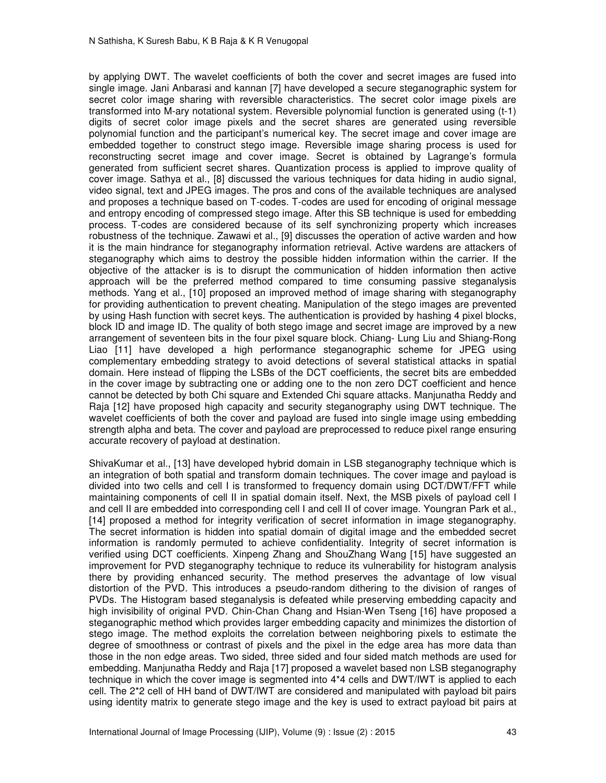by applying DWT. The wavelet coefficients of both the cover and secret images are fused into single image. Jani Anbarasi and kannan [7] have developed a secure steganographic system for secret color image sharing with reversible characteristics. The secret color image pixels are transformed into M-ary notational system. Reversible polynomial function is generated using (t-1) digits of secret color image pixels and the secret shares are generated using reversible polynomial function and the participant's numerical key. The secret image and cover image are embedded together to construct stego image. Reversible image sharing process is used for reconstructing secret image and cover image. Secret is obtained by Lagrange's formula generated from sufficient secret shares. Quantization process is applied to improve quality of cover image. Sathya et al., [8] discussed the various techniques for data hiding in audio signal, video signal, text and JPEG images. The pros and cons of the available techniques are analysed and proposes a technique based on T-codes. T-codes are used for encoding of original message and entropy encoding of compressed stego image. After this SB technique is used for embedding process. T-codes are considered because of its self synchronizing property which increases robustness of the technique. Zawawi et al., [9] discusses the operation of active warden and how it is the main hindrance for steganography information retrieval. Active wardens are attackers of steganography which aims to destroy the possible hidden information within the carrier. If the objective of the attacker is is to disrupt the communication of hidden information then active approach will be the preferred method compared to time consuming passive steganalysis methods. Yang et al., [10] proposed an improved method of image sharing with steganography for providing authentication to prevent cheating. Manipulation of the stego images are prevented by using Hash function with secret keys. The authentication is provided by hashing 4 pixel blocks, block ID and image ID. The quality of both stego image and secret image are improved by a new arrangement of seventeen bits in the four pixel square block. Chiang- Lung Liu and Shiang-Rong Liao [11] have developed a high performance steganographic scheme for JPEG using complementary embedding strategy to avoid detections of several statistical attacks in spatial domain. Here instead of flipping the LSBs of the DCT coefficients, the secret bits are embedded in the cover image by subtracting one or adding one to the non zero DCT coefficient and hence cannot be detected by both Chi square and Extended Chi square attacks. Manjunatha Reddy and Raja [12] have proposed high capacity and security steganography using DWT technique. The wavelet coefficients of both the cover and payload are fused into single image using embedding strength alpha and beta. The cover and payload are preprocessed to reduce pixel range ensuring accurate recovery of payload at destination.

ShivaKumar et al., [13] have developed hybrid domain in LSB steganography technique which is an integration of both spatial and transform domain techniques. The cover image and payload is divided into two cells and cell I is transformed to frequency domain using DCT/DWT/FFT while maintaining components of cell II in spatial domain itself. Next, the MSB pixels of payload cell I and cell II are embedded into corresponding cell I and cell II of cover image. Youngran Park et al., [14] proposed a method for integrity verification of secret information in image steganography. The secret information is hidden into spatial domain of digital image and the embedded secret information is randomly permuted to achieve confidentiality. Integrity of secret information is verified using DCT coefficients. Xinpeng Zhang and ShouZhang Wang [15] have suggested an improvement for PVD steganography technique to reduce its vulnerability for histogram analysis there by providing enhanced security. The method preserves the advantage of low visual distortion of the PVD. This introduces a pseudo-random dithering to the division of ranges of PVDs. The Histogram based steganalysis is defeated while preserving embedding capacity and high invisibility of original PVD. Chin-Chan Chang and Hsian-Wen Tseng [16] have proposed a steganographic method which provides larger embedding capacity and minimizes the distortion of stego image. The method exploits the correlation between neighboring pixels to estimate the degree of smoothness or contrast of pixels and the pixel in the edge area has more data than those in the non edge areas. Two sided, three sided and four sided match methods are used for embedding. Manjunatha Reddy and Raja [17] proposed a wavelet based non LSB steganography technique in which the cover image is segmented into 4\*4 cells and DWT/IWT is applied to each cell. The 2\*2 cell of HH band of DWT/IWT are considered and manipulated with payload bit pairs using identity matrix to generate stego image and the key is used to extract payload bit pairs at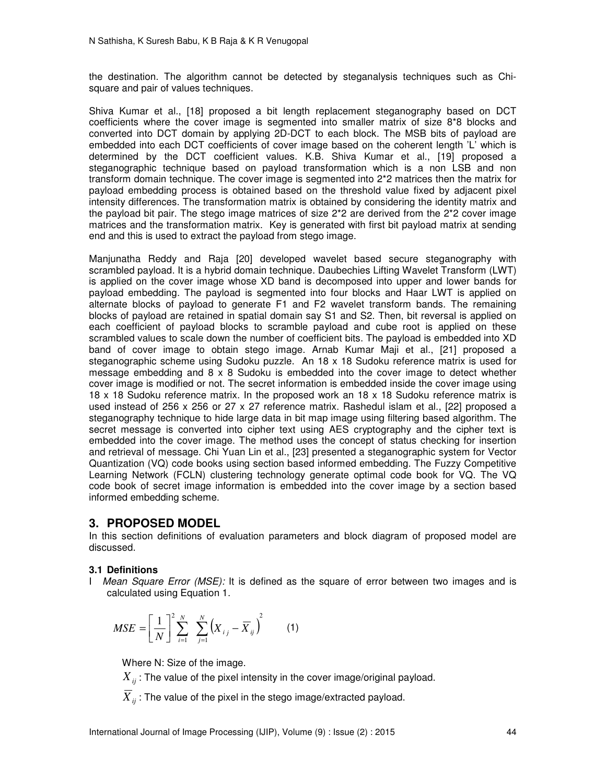the destination. The algorithm cannot be detected by steganalysis techniques such as Chisquare and pair of values techniques.

Shiva Kumar et al., [18] proposed a bit length replacement steganography based on DCT coefficients where the cover image is segmented into smaller matrix of size 8\*8 blocks and converted into DCT domain by applying 2D-DCT to each block. The MSB bits of payload are embedded into each DCT coefficients of cover image based on the coherent length 'L' which is determined by the DCT coefficient values. K.B. Shiva Kumar et al., [19] proposed a steganographic technique based on payload transformation which is a non LSB and non transform domain technique. The cover image is segmented into 2\*2 matrices then the matrix for payload embedding process is obtained based on the threshold value fixed by adjacent pixel intensity differences. The transformation matrix is obtained by considering the identity matrix and the payload bit pair. The stego image matrices of size 2\*2 are derived from the 2\*2 cover image matrices and the transformation matrix. Key is generated with first bit payload matrix at sending end and this is used to extract the payload from stego image.

Manjunatha Reddy and Raja [20] developed wavelet based secure steganography with scrambled payload. It is a hybrid domain technique. Daubechies Lifting Wavelet Transform (LWT) is applied on the cover image whose XD band is decomposed into upper and lower bands for payload embedding. The payload is segmented into four blocks and Haar LWT is applied on alternate blocks of payload to generate F1 and F2 wavelet transform bands. The remaining blocks of payload are retained in spatial domain say S1 and S2. Then, bit reversal is applied on each coefficient of payload blocks to scramble payload and cube root is applied on these scrambled values to scale down the number of coefficient bits. The payload is embedded into XD band of cover image to obtain stego image. Arnab Kumar Maji et al., [21] proposed a steganographic scheme using Sudoku puzzle. An 18 x 18 Sudoku reference matrix is used for message embedding and  $8 \times 8$  Sudoku is embedded into the cover image to detect whether cover image is modified or not. The secret information is embedded inside the cover image using 18 x 18 Sudoku reference matrix. In the proposed work an 18 x 18 Sudoku reference matrix is used instead of 256 x 256 or 27 x 27 reference matrix. Rashedul islam et al., [22] proposed a steganography technique to hide large data in bit map image using filtering based algorithm. The secret message is converted into cipher text using AES cryptography and the cipher text is embedded into the cover image. The method uses the concept of status checking for insertion and retrieval of message. Chi Yuan Lin et al., [23] presented a steganographic system for Vector Quantization (VQ) code books using section based informed embedding. The Fuzzy Competitive Learning Network (FCLN) clustering technology generate optimal code book for VQ. The VQ code book of secret image information is embedded into the cover image by a section based informed embedding scheme.

# **3. PROPOSED MODEL**

In this section definitions of evaluation parameters and block diagram of proposed model are discussed.

## **3.1 Definitions**

I *Mean Square Error (MSE):* It is defined as the square of error between two images and is calculated using Equation 1.

$$
MSE = \left[\frac{1}{N}\right]^{2} \sum_{i=1}^{N} \sum_{j=1}^{N} (X_{i,j} - \overline{X}_{ij})^{2}
$$
 (1)

Where N: Size of the image.

 $X_{ii}$ : The value of the pixel intensity in the cover image/original payload.

 $X_{ii}$ : The value of the pixel in the stego image/extracted payload.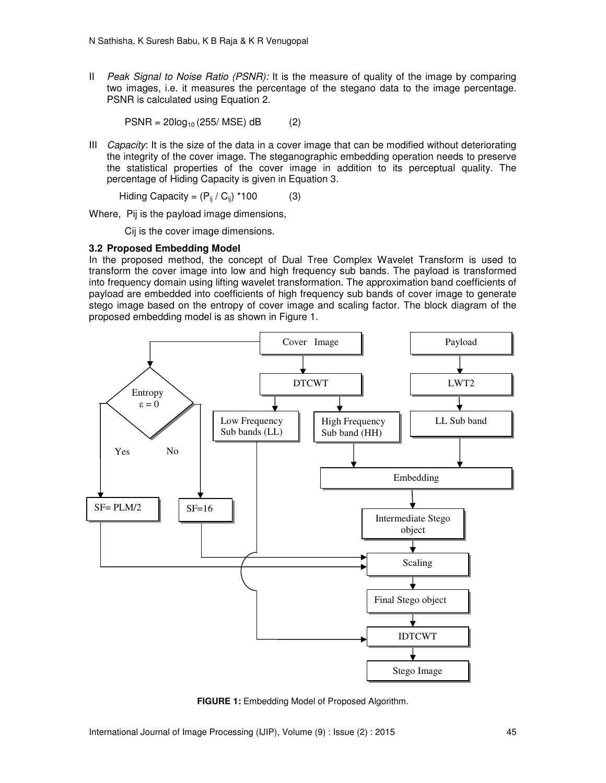II *Peak Signal to Noise Ratio (PSNR):* It is the measure of quality of the image by comparing two images, i.e. it measures the percentage of the stegano data to the image percentage. PSNR is calculated using Equation 2.

 $PSNR = 20log_{10} (255/MSE) dB$  (2)

III *Capacity*: It is the size of the data in a cover image that can be modified without deteriorating the integrity of the cover image. The steganographic embedding operation needs to preserve the statistical properties of the cover image in addition to its perceptual quality. The percentage of Hiding Capacity is given in Equation 3.

$$
Hiding Capacity = (P_{ij} / C_{ij}) * 100 \tag{3}
$$

Where, Pij is the payload image dimensions,

Cij is the cover image dimensions.

## **3.2 Proposed Embedding Model**

In the proposed method, the concept of Dual Tree Complex Wavelet Transform is used to transform the cover image into low and high frequency sub bands. The payload is transformed into frequency domain using lifting wavelet transformation. The approximation band coefficients of payload are embedded into coefficients of high frequency sub bands of cover image to generate stego image based on the entropy of cover image and scaling factor. The block diagram of the proposed embedding model is as shown in Figure 1.



**FIGURE 1:** Embedding Model of Proposed Algorithm.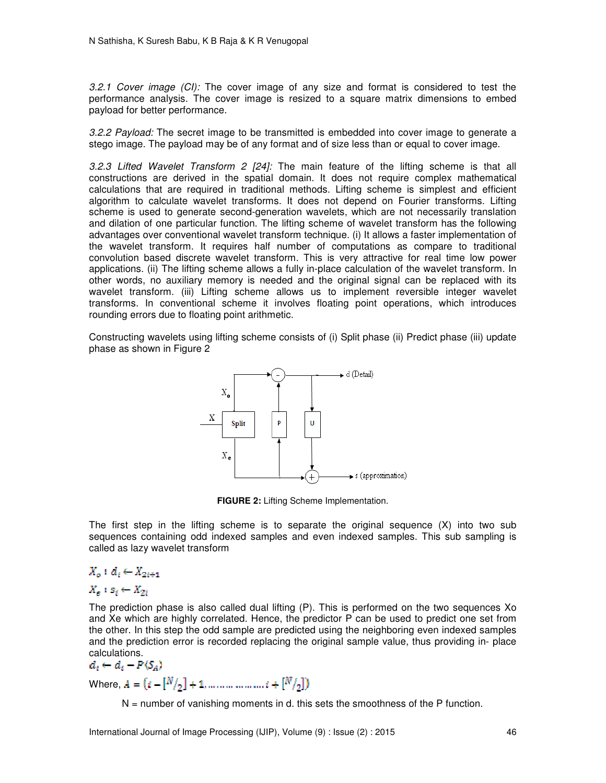*3.2.1 Cover image (CI):* The cover image of any size and format is considered to test the performance analysis. The cover image is resized to a square matrix dimensions to embed payload for better performance.

*3.2.2 Payload:* The secret image to be transmitted is embedded into cover image to generate a stego image. The payload may be of any format and of size less than or equal to cover image.

*3.2.3 Lifted Wavelet Transform 2 [24]:* The main feature of the lifting scheme is that all constructions are derived in the spatial domain. It does not require complex mathematical calculations that are required in traditional methods. Lifting scheme is simplest and efficient algorithm to calculate wavelet transforms. It does not depend on Fourier transforms. Lifting scheme is used to generate second-generation wavelets, which are not necessarily translation and dilation of one particular function. The lifting scheme of wavelet transform has the following advantages over conventional wavelet transform technique. (i) It allows a faster implementation of the wavelet transform. It requires half number of computations as compare to traditional convolution based discrete wavelet transform. This is very attractive for real time low power applications. (ii) The lifting scheme allows a fully in-place calculation of the wavelet transform. In other words, no auxiliary memory is needed and the original signal can be replaced with its wavelet transform. (iii) Lifting scheme allows us to implement reversible integer wavelet transforms. In conventional scheme it involves floating point operations, which introduces rounding errors due to floating point arithmetic.

Constructing wavelets using lifting scheme consists of (i) Split phase (ii) Predict phase (iii) update phase as shown in Figure 2



**FIGURE 2:** Lifting Scheme Implementation.

The first step in the lifting scheme is to separate the original sequence (X) into two sub sequences containing odd indexed samples and even indexed samples. This sub sampling is called as lazy wavelet transform

# $X_o: d_i \leftarrow X_{2i+1}$

# $X_n : S_i \leftarrow X_{2i}$

The prediction phase is also called dual lifting (P). This is performed on the two sequences Xo and Xe which are highly correlated. Hence, the predictor P can be used to predict one set from the other. In this step the odd sample are predicted using the neighboring even indexed samples and the prediction error is recorded replacing the original sample value, thus providing in- place calculations.

$$
a_i \leftarrow a_i - P(S_A)
$$
  
Where,  $A = (i - [N/2] + 1, ..., ..., ..., ..., i + [N/2])$ 

 $N =$  number of vanishing moments in d. this sets the smoothness of the P function.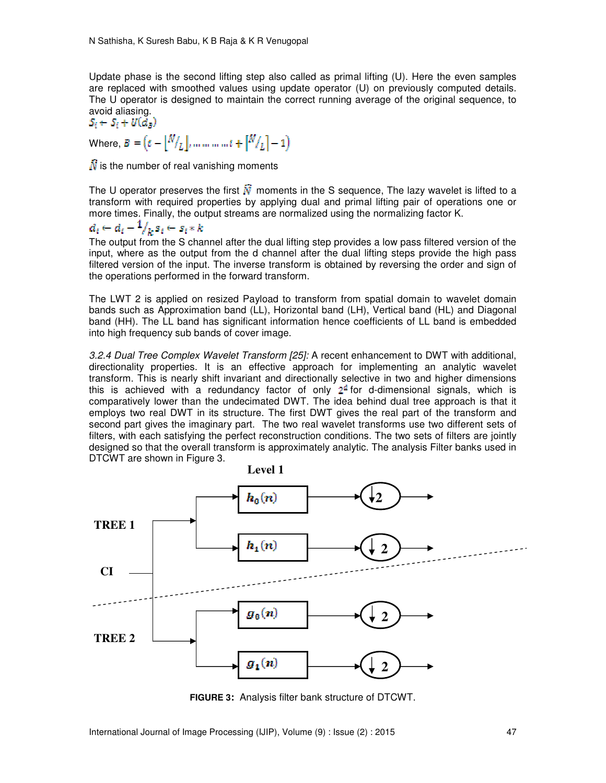Update phase is the second lifting step also called as primal lifting (U). Here the even samples are replaced with smoothed values using update operator (U) on previously computed details. The U operator is designed to maintain the correct running average of the original sequence, to avoid aliasing.

 $S_i \leftarrow S_i + U(d_n)$ Where,  $B = (\bar{v} - |\bar{N}/I_L|, \dots, \dots, \bar{v} + |\bar{N}/I_L| - 1)$ 

 $\hat{N}$  is the number of real vanishing moments

The U operator preserves the first  $\tilde{N}$  moments in the S sequence, The lazy wavelet is lifted to a transform with required properties by applying dual and primal lifting pair of operations one or more times. Finally, the output streams are normalized using the normalizing factor K.

# $d_i \leftarrow d_i - \frac{1}{k} s_i \leftarrow s_i * k$

The output from the S channel after the dual lifting step provides a low pass filtered version of the input, where as the output from the d channel after the dual lifting steps provide the high pass filtered version of the input. The inverse transform is obtained by reversing the order and sign of the operations performed in the forward transform.

The LWT 2 is applied on resized Payload to transform from spatial domain to wavelet domain bands such as Approximation band (LL), Horizontal band (LH), Vertical band (HL) and Diagonal band (HH). The LL band has significant information hence coefficients of LL band is embedded into high frequency sub bands of cover image.

*3.2.4 Dual Tree Complex Wavelet Transform [25]:* A recent enhancement to DWT with additional, directionality properties. It is an effective approach for implementing an analytic wavelet transform. This is nearly shift invariant and directionally selective in two and higher dimensions this is achieved with a redundancy factor of only  $2<sup>d</sup>$  for d-dimensional signals, which is comparatively lower than the undecimated DWT. The idea behind dual tree approach is that it employs two real DWT in its structure. The first DWT gives the real part of the transform and second part gives the imaginary part. The two real wavelet transforms use two different sets of filters, with each satisfying the perfect reconstruction conditions. The two sets of filters are jointly designed so that the overall transform is approximately analytic. The analysis Filter banks used in DTCWT are shown in Figure 3.



**FIGURE 3:** Analysis filter bank structure of DTCWT.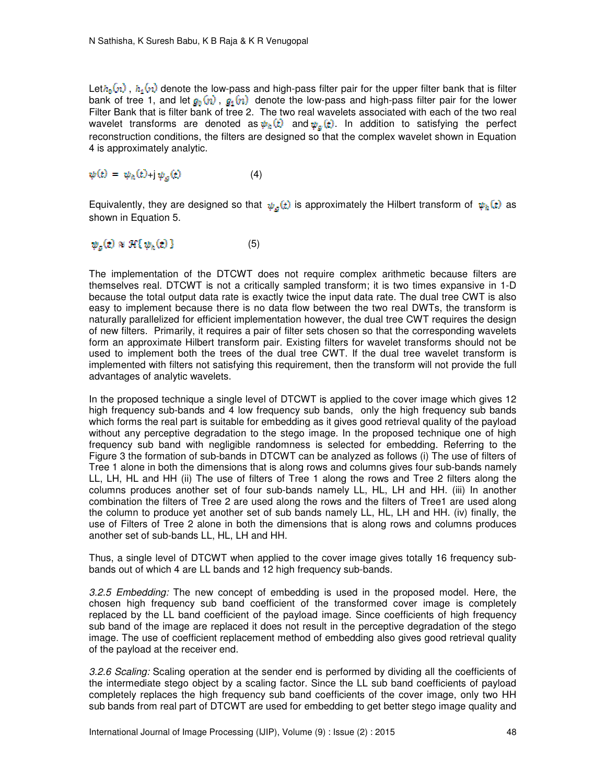Let $h_0(n)$ ,  $h_1(n)$  denote the low-pass and high-pass filter pair for the upper filter bank that is filter bank of tree 1, and let  $g_0(n)$ ,  $g_1(n)$  denote the low-pass and high-pass filter pair for the lower Filter Bank that is filter bank of tree 2. The two real wavelets associated with each of the two real wavelet transforms are denoted as  $\psi_{\hat{n}}(t)$  and  $\psi_{\hat{n}}(t)$ . In addition to satisfying the perfect reconstruction conditions, the filters are designed so that the complex wavelet shown in Equation 4 is approximately analytic.

$$
\psi(t) = \psi_h(t) + j \psi_{\alpha}(t) \tag{4}
$$

Equivalently, they are designed so that  $\psi_g(t)$  is approximately the Hilbert transform of  $\psi_h(t)$  as shown in Equation 5.

$$
\psi_g(t) \approx \mathcal{H}\{\psi_h(t)\}\tag{5}
$$

The implementation of the DTCWT does not require complex arithmetic because filters are themselves real. DTCWT is not a critically sampled transform; it is two times expansive in 1-D because the total output data rate is exactly twice the input data rate. The dual tree CWT is also easy to implement because there is no data flow between the two real DWTs, the transform is naturally parallelized for efficient implementation however, the dual tree CWT requires the design of new filters. Primarily, it requires a pair of filter sets chosen so that the corresponding wavelets form an approximate Hilbert transform pair. Existing filters for wavelet transforms should not be used to implement both the trees of the dual tree CWT. If the dual tree wavelet transform is implemented with filters not satisfying this requirement, then the transform will not provide the full advantages of analytic wavelets.

In the proposed technique a single level of DTCWT is applied to the cover image which gives 12 high frequency sub-bands and 4 low frequency sub bands, only the high frequency sub bands which forms the real part is suitable for embedding as it gives good retrieval quality of the payload without any perceptive degradation to the stego image. In the proposed technique one of high frequency sub band with negligible randomness is selected for embedding. Referring to the Figure 3 the formation of sub-bands in DTCWT can be analyzed as follows (i) The use of filters of Tree 1 alone in both the dimensions that is along rows and columns gives four sub-bands namely LL, LH, HL and HH (ii) The use of filters of Tree 1 along the rows and Tree 2 filters along the columns produces another set of four sub-bands namely LL, HL, LH and HH. (iii) In another combination the filters of Tree 2 are used along the rows and the filters of Tree1 are used along the column to produce yet another set of sub bands namely LL, HL, LH and HH. (iv) finally, the use of Filters of Tree 2 alone in both the dimensions that is along rows and columns produces another set of sub-bands LL, HL, LH and HH.

Thus, a single level of DTCWT when applied to the cover image gives totally 16 frequency subbands out of which 4 are LL bands and 12 high frequency sub-bands.

*3.2.5 Embedding:* The new concept of embedding is used in the proposed model. Here, the chosen high frequency sub band coefficient of the transformed cover image is completely replaced by the LL band coefficient of the payload image. Since coefficients of high frequency sub band of the image are replaced it does not result in the perceptive degradation of the stego image. The use of coefficient replacement method of embedding also gives good retrieval quality of the payload at the receiver end.

*3.2.6 Scaling:* Scaling operation at the sender end is performed by dividing all the coefficients of the intermediate stego object by a scaling factor. Since the LL sub band coefficients of payload completely replaces the high frequency sub band coefficients of the cover image, only two HH sub bands from real part of DTCWT are used for embedding to get better stego image quality and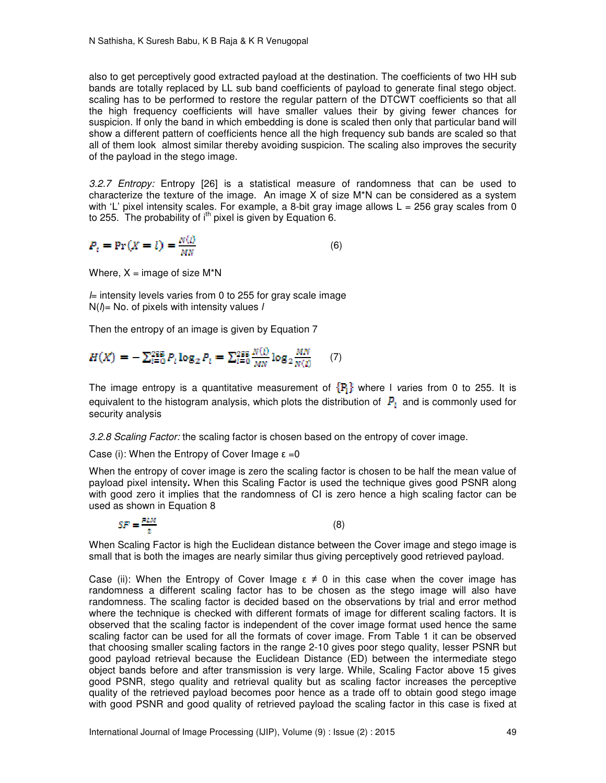also to get perceptively good extracted payload at the destination. The coefficients of two HH sub bands are totally replaced by LL sub band coefficients of payload to generate final stego object. scaling has to be performed to restore the regular pattern of the DTCWT coefficients so that all the high frequency coefficients will have smaller values their by giving fewer chances for suspicion. If only the band in which embedding is done is scaled then only that particular band will show a different pattern of coefficients hence all the high frequency sub bands are scaled so that all of them look almost similar thereby avoiding suspicion. The scaling also improves the security of the payload in the stego image.

*3.2.7 Entropy:* Entropy [26] is a statistical measure of randomness that can be used to characterize the texture of the image. An image X of size M\*N can be considered as a system with 'L' pixel intensity scales. For example, a 8-bit gray image allows  $L = 256$  gray scales from 0 to 255. The probability of  $i<sup>th</sup>$  pixel is given by Equation 6.

$$
P_i = \Pr(X = l) = \frac{N(l)}{MN} \tag{6}
$$

Where,  $X = \text{image of size } M^*N$ 

*l*= intensity levels varies from 0 to 255 for gray scale image N(*l*)= No. of pixels with intensity values *l* 

Then the entropy of an image is given by Equation 7

$$
H(X) = -\sum_{l=0}^{255} P_l \log_2 P_l = \sum_{l=0}^{255} \frac{N(l)}{MN} \log_2 \frac{MN}{N(l)} \qquad (7)
$$

The image entropy is a quantitative measurement of  ${P<sub>i</sub>}$  where I varies from 0 to 255. It is equivalent to the histogram analysis, which plots the distribution of  $P_i$  and is commonly used for security analysis

*3.2.8 Scaling Factor:* the scaling factor is chosen based on the entropy of cover image.

Case (i): When the Entropy of Cover Image  $\varepsilon = 0$ 

When the entropy of cover image is zero the scaling factor is chosen to be half the mean value of payload pixel intensity**.** When this Scaling Factor is used the technique gives good PSNR along with good zero it implies that the randomness of CI is zero hence a high scaling factor can be used as shown in Equation 8

$$
SF = \frac{PLM}{2} \tag{8}
$$

When Scaling Factor is high the Euclidean distance between the Cover image and stego image is small that is both the images are nearly similar thus giving perceptively good retrieved payload.

Case (ii): When the Entropy of Cover Image  $\varepsilon \neq 0$  in this case when the cover image has randomness a different scaling factor has to be chosen as the stego image will also have randomness. The scaling factor is decided based on the observations by trial and error method where the technique is checked with different formats of image for different scaling factors. It is observed that the scaling factor is independent of the cover image format used hence the same scaling factor can be used for all the formats of cover image. From Table 1 it can be observed that choosing smaller scaling factors in the range 2-10 gives poor stego quality, lesser PSNR but good payload retrieval because the Euclidean Distance (ED) between the intermediate stego object bands before and after transmission is very large. While, Scaling Factor above 15 gives good PSNR, stego quality and retrieval quality but as scaling factor increases the perceptive quality of the retrieved payload becomes poor hence as a trade off to obtain good stego image with good PSNR and good quality of retrieved payload the scaling factor in this case is fixed at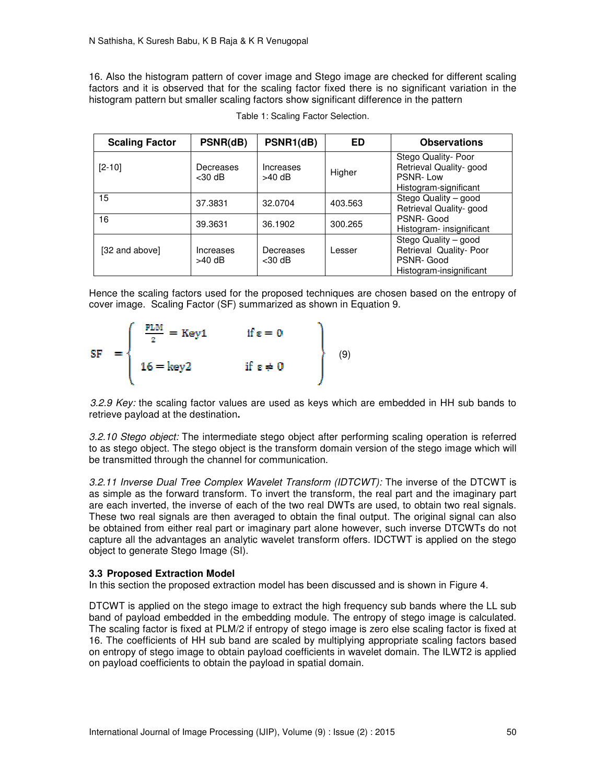16. Also the histogram pattern of cover image and Stego image are checked for different scaling factors and it is observed that for the scaling factor fixed there is no significant variation in the histogram pattern but smaller scaling factors show significant difference in the pattern

| <b>Scaling Factor</b> | PSNR(dB)               | PSNR1(dB)              | ED      | <b>Observations</b>                                                                     |
|-----------------------|------------------------|------------------------|---------|-----------------------------------------------------------------------------------------|
| $[2 - 10]$            | Decreases<br>$<$ 30 dB | Increases<br>$>40$ dB  | Higher  | Stego Quality- Poor<br>Retrieval Quality- good<br>PSNR-Low<br>Histogram-significant     |
| 15                    | 37.3831                | 32.0704                | 403.563 | Stego Quality - good<br>Retrieval Quality- good                                         |
| 16                    | 39.3631                | 36.1902                | 300.265 | PSNR-Good<br>Histogram- insignificant                                                   |
| [32 and above]        | Increases<br>$>40$ dB  | Decreases<br>$<$ 30 dB | Lesser  | Stego Quality - good<br>Retrieval Quality- Poor<br>PSNR-Good<br>Histogram-insignificant |

Table 1: Scaling Factor Selection.

Hence the scaling factors used for the proposed techniques are chosen based on the entropy of cover image. Scaling Factor (SF) summarized as shown in Equation 9.

$$
SF = \begin{cases} \frac{PLM}{2} = Key1 & \text{if } \epsilon = 0 \\ 16 = key2 & \text{if } \epsilon \neq 0 \end{cases}
$$
 (9)

*3.2.9 Key:* the scaling factor values are used as keys which are embedded in HH sub bands to retrieve payload at the destination**.** 

*3.2.10 Stego object:* The intermediate stego object after performing scaling operation is referred to as stego object. The stego object is the transform domain version of the stego image which will be transmitted through the channel for communication.

*3.2.11 Inverse Dual Tree Complex Wavelet Transform (IDTCWT):* The inverse of the DTCWT is as simple as the forward transform. To invert the transform, the real part and the imaginary part are each inverted, the inverse of each of the two real DWTs are used, to obtain two real signals. These two real signals are then averaged to obtain the final output. The original signal can also be obtained from either real part or imaginary part alone however, such inverse DTCWTs do not capture all the advantages an analytic wavelet transform offers. IDCTWT is applied on the stego object to generate Stego Image (SI).

## **3.3 Proposed Extraction Model**

In this section the proposed extraction model has been discussed and is shown in Figure 4.

DTCWT is applied on the stego image to extract the high frequency sub bands where the LL sub band of payload embedded in the embedding module. The entropy of stego image is calculated. The scaling factor is fixed at PLM/2 if entropy of stego image is zero else scaling factor is fixed at 16. The coefficients of HH sub band are scaled by multiplying appropriate scaling factors based on entropy of stego image to obtain payload coefficients in wavelet domain. The ILWT2 is applied on payload coefficients to obtain the payload in spatial domain.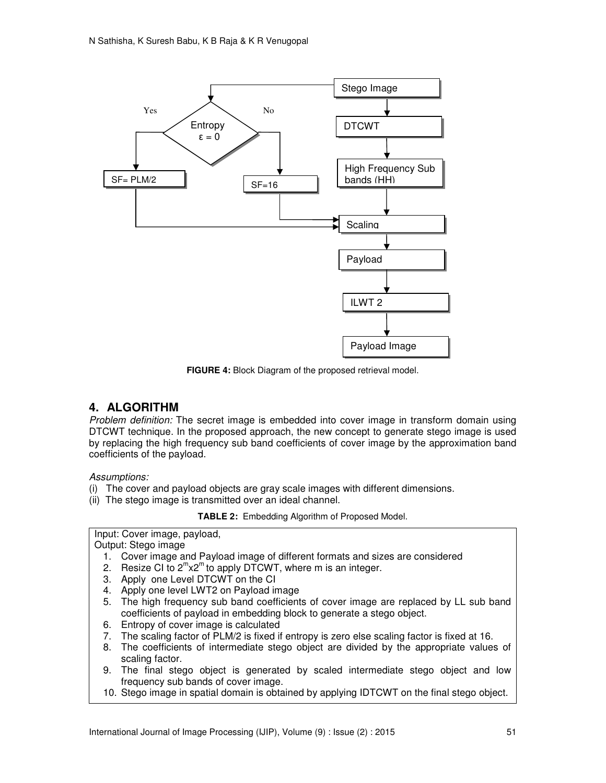

**FIGURE 4:** Block Diagram of the proposed retrieval model.

# **4. ALGORITHM**

*Problem definition:* The secret image is embedded into cover image in transform domain using DTCWT technique. In the proposed approach, the new concept to generate stego image is used by replacing the high frequency sub band coefficients of cover image by the approximation band coefficients of the payload.

*Assumptions:* 

- (i) The cover and payload objects are gray scale images with different dimensions.
- (ii) The stego image is transmitted over an ideal channel.

**TABLE 2:** Embedding Algorithm of Proposed Model.

Input: Cover image, payload,

Output: Stego image

- 1. Cover image and Payload image of different formats and sizes are considered
- 2. Resize CI to  $2^m x 2^m$  to apply DTCWT, where m is an integer.
- 3. Apply one Level DTCWT on the CI
- 4. Apply one level LWT2 on Payload image
- 5. The high frequency sub band coefficients of cover image are replaced by LL sub band coefficients of payload in embedding block to generate a stego object.
- 6. Entropy of cover image is calculated
- 7. The scaling factor of PLM/2 is fixed if entropy is zero else scaling factor is fixed at 16.
- 8. The coefficients of intermediate stego object are divided by the appropriate values of scaling factor.
- 9. The final stego object is generated by scaled intermediate stego object and low frequency sub bands of cover image.
- 10. Stego image in spatial domain is obtained by applying IDTCWT on the final stego object.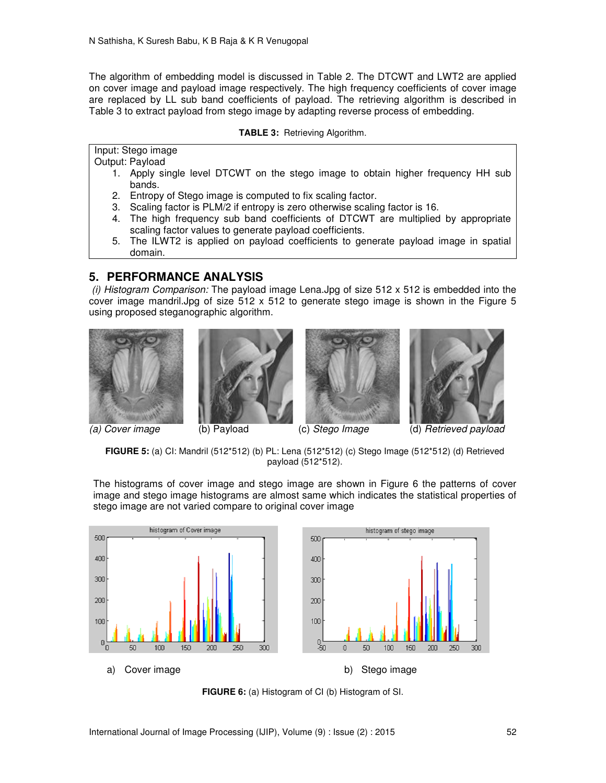The algorithm of embedding model is discussed in Table 2. The DTCWT and LWT2 are applied on cover image and payload image respectively. The high frequency coefficients of cover image are replaced by LL sub band coefficients of payload. The retrieving algorithm is described in Table 3 to extract payload from stego image by adapting reverse process of embedding.

### **TABLE 3:** Retrieving Algorithm.

Input: Stego image

Output: Payload

- 1. Apply single level DTCWT on the stego image to obtain higher frequency HH sub bands.
- 2. Entropy of Stego image is computed to fix scaling factor.
- 3. Scaling factor is PLM/2 if entropy is zero otherwise scaling factor is 16.
- 4. The high frequency sub band coefficients of DTCWT are multiplied by appropriate scaling factor values to generate payload coefficients.
- 5. The ILWT2 is applied on payload coefficients to generate payload image in spatial domain.

# **5. PERFORMANCE ANALYSIS**

 *(i) Histogram Comparison:* The payload image Lena.Jpg of size 512 x 512 is embedded into the cover image mandril.Jpg of size 512 x 512 to generate stego image is shown in the Figure 5 using proposed steganographic algorithm.









**FIGURE 5:** (a) CI: Mandril (512\*512) (b) PL: Lena (512\*512) (c) Stego Image (512\*512) (d) Retrieved payload (512\*512).

The histograms of cover image and stego image are shown in Figure 6 the patterns of cover image and stego image histograms are almost same which indicates the statistical properties of stego image are not varied compare to original cover image



**FIGURE 6:** (a) Histogram of CI (b) Histogram of SI.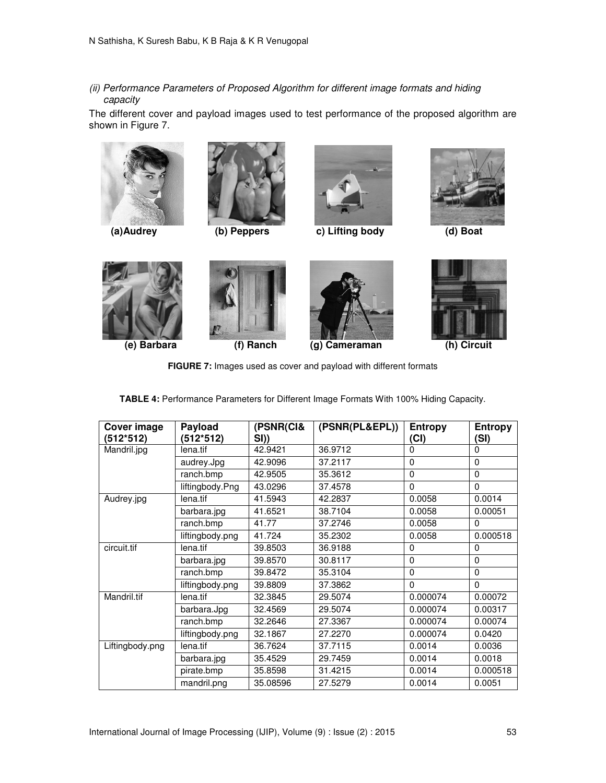*(ii) Performance Parameters of Proposed Algorithm for different image formats and hiding capacity* 

The different cover and payload images used to test performance of the proposed algorithm are shown in Figure 7.







 **(a)Audrey (b) Peppers c) Lifting body (d) Boat** 











**FIGURE 7:** Images used as cover and payload with different formats

| <b>Cover image</b><br>(512*512) | Payload<br>(512*512) | (PSNR(CI&<br>SI) | (PSNR(PL&EPL)) | <b>Entropy</b><br>(Cl) | <b>Entropy</b><br>(SI) |
|---------------------------------|----------------------|------------------|----------------|------------------------|------------------------|
| Mandril.jpg                     | lena.tif             | 42.9421          | 36.9712        | 0                      | $\Omega$               |
|                                 | audrey.Jpg           | 42.9096          | 37.2117        | $\Omega$               | $\Omega$               |
|                                 | ranch.bmp            | 42.9505          | 35.3612        | 0                      | $\Omega$               |
|                                 | liftingbody.Png      | 43.0296          | 37.4578        | $\Omega$               | $\Omega$               |
| Audrey.jpg                      | lena.tif             | 41.5943          | 42.2837        | 0.0058                 | 0.0014                 |
|                                 | barbara.jpg          | 41.6521          | 38.7104        | 0.0058                 | 0.00051                |
|                                 | ranch.bmp            | 41.77            | 37.2746        | 0.0058                 | $\Omega$               |
|                                 | liftingbody.png      | 41.724           | 35.2302        | 0.0058                 | 0.000518               |
| circuit.tif                     | lena.tif             | 39.8503          | 36.9188        | 0                      | $\Omega$               |
|                                 | barbara.jpg          | 39.8570          | 30.8117        | 0                      | $\Omega$               |
|                                 | ranch.bmp            | 39.8472          | 35.3104        | $\Omega$               | $\Omega$               |
|                                 | liftingbody.png      | 39.8809          | 37.3862        | 0                      | $\Omega$               |
| Mandril.tif                     | lena.tif             | 32.3845          | 29.5074        | 0.000074               | 0.00072                |
|                                 | barbara.Jpg          | 32.4569          | 29.5074        | 0.000074               | 0.00317                |
|                                 | ranch.bmp            | 32.2646          | 27.3367        | 0.000074               | 0.00074                |
|                                 | liftingbody.png      | 32.1867          | 27.2270        | 0.000074               | 0.0420                 |
| Liftingbody.png                 | lena.tif             | 36.7624          | 37.7115        | 0.0014                 | 0.0036                 |
|                                 | barbara.jpg          | 35.4529          | 29.7459        | 0.0014                 | 0.0018                 |
|                                 | pirate.bmp           | 35.8598          | 31.4215        | 0.0014                 | 0.000518               |
|                                 | mandril.png          | 35.08596         | 27.5279        | 0.0014                 | 0.0051                 |

| TABLE 4: Performance Parameters for Different Image Formats With 100% Hiding Capacity. |  |  |  |
|----------------------------------------------------------------------------------------|--|--|--|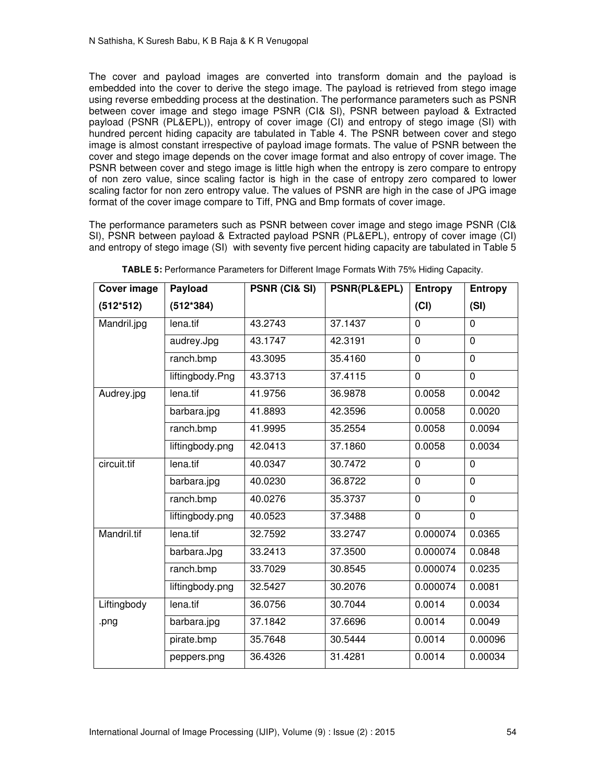The cover and payload images are converted into transform domain and the payload is embedded into the cover to derive the stego image. The payload is retrieved from stego image using reverse embedding process at the destination. The performance parameters such as PSNR between cover image and stego image PSNR (CI& SI), PSNR between payload & Extracted payload (PSNR (PL&EPL)), entropy of cover image (CI) and entropy of stego image (SI) with hundred percent hiding capacity are tabulated in Table 4. The PSNR between cover and stego image is almost constant irrespective of payload image formats. The value of PSNR between the cover and stego image depends on the cover image format and also entropy of cover image. The PSNR between cover and stego image is little high when the entropy is zero compare to entropy of non zero value, since scaling factor is high in the case of entropy zero compared to lower scaling factor for non zero entropy value. The values of PSNR are high in the case of JPG image format of the cover image compare to Tiff, PNG and Bmp formats of cover image.

The performance parameters such as PSNR between cover image and stego image PSNR (CI& SI), PSNR between payload & Extracted payload PSNR (PL&EPL), entropy of cover image (CI) and entropy of stego image (SI) with seventy five percent hiding capacity are tabulated in Table 5

| Cover image | Payload         | PSNR (CI& SI) | <b>PSNR(PL&amp;EPL)</b> | <b>Entropy</b> | <b>Entropy</b> |
|-------------|-----------------|---------------|-------------------------|----------------|----------------|
| $(512*512)$ | $(512*384)$     |               |                         | (Cl)           | (SI)           |
| Mandril.jpg | lena.tif        | 43.2743       | 37.1437                 | 0              | $\Omega$       |
|             | audrey.Jpg      | 43.1747       | 42.3191                 | 0              | $\mathbf 0$    |
|             | ranch.bmp       | 43.3095       | 35.4160                 | 0              | $\mathbf 0$    |
|             | liftingbody.Png | 43.3713       | 37.4115                 | 0              | $\mathbf 0$    |
| Audrey.jpg  | lena.tif        | 41.9756       | 36.9878                 | 0.0058         | 0.0042         |
|             | barbara.jpg     | 41.8893       | 42.3596                 | 0.0058         | 0.0020         |
|             | ranch.bmp       | 41.9995       | 35.2554                 | 0.0058         | 0.0094         |
|             | liftingbody.png | 42.0413       | 37.1860                 | 0.0058         | 0.0034         |
| circuit.tif | lena.tif        | 40.0347       | 30.7472                 | $\Omega$       | $\Omega$       |
|             | barbara.jpg     | 40.0230       | 36.8722                 | $\overline{0}$ | $\Omega$       |
|             | ranch.bmp       | 40.0276       | 35.3737                 | 0              | $\mathbf 0$    |
|             | liftingbody.png | 40.0523       | 37.3488                 | 0              | $\mathbf 0$    |
| Mandril.tif | lena.tif        | 32.7592       | 33.2747                 | 0.000074       | 0.0365         |
|             | barbara.Jpg     | 33.2413       | 37.3500                 | 0.000074       | 0.0848         |
|             | ranch.bmp       | 33.7029       | 30.8545                 | 0.000074       | 0.0235         |
|             | liftingbody.png | 32.5427       | 30.2076                 | 0.000074       | 0.0081         |
| Liftingbody | lena.tif        | 36.0756       | 30.7044                 | 0.0014         | 0.0034         |
| .png        | barbara.jpg     | 37.1842       | 37.6696                 | 0.0014         | 0.0049         |
|             | pirate.bmp      | 35.7648       | 30.5444                 | 0.0014         | 0.00096        |
|             | peppers.png     | 36.4326       | 31.4281                 | 0.0014         | 0.00034        |

**TABLE 5:** Performance Parameters for Different Image Formats With 75% Hiding Capacity.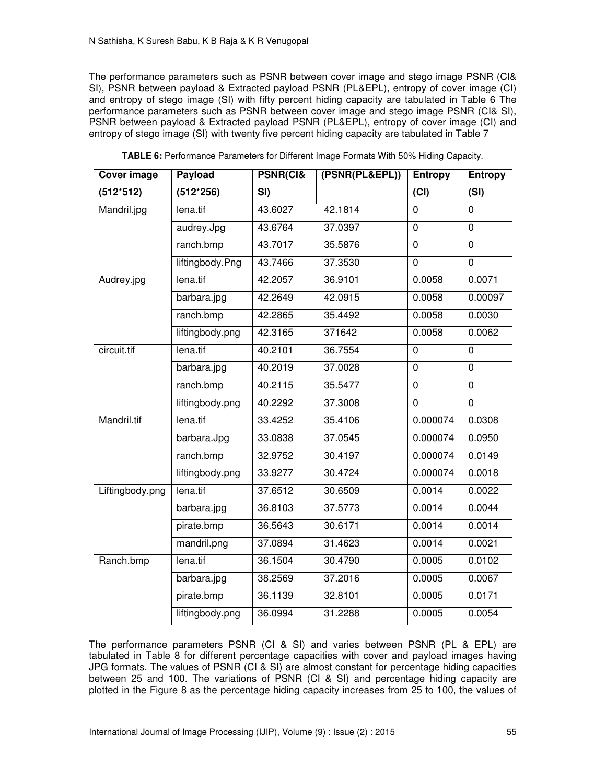The performance parameters such as PSNR between cover image and stego image PSNR (CI& SI), PSNR between payload & Extracted payload PSNR (PL&EPL), entropy of cover image (CI) and entropy of stego image (SI) with fifty percent hiding capacity are tabulated in Table 6 The performance parameters such as PSNR between cover image and stego image PSNR (CI& SI), PSNR between payload & Extracted payload PSNR (PL&EPL), entropy of cover image (CI) and entropy of stego image (SI) with twenty five percent hiding capacity are tabulated in Table 7

| Cover image     | Payload         | <b>PSNR(CI&amp;</b> | (PSNR(PL&EPL)) | Entropy     | <b>Entropy</b> |
|-----------------|-----------------|---------------------|----------------|-------------|----------------|
| $(512*512)$     | $(512*256)$     | SI)                 |                | (Cl)        | (SI)           |
| Mandril.jpg     | lena.tif        | 43.6027             | 42.1814        | $\mathbf 0$ | $\overline{0}$ |
|                 | audrey.Jpg      | 43.6764             | 37.0397        | $\mathbf 0$ | 0              |
|                 | ranch.bmp       | 43.7017             | 35.5876        | $\mathbf 0$ | 0              |
|                 | liftingbody.Png | 43.7466             | 37.3530        | 0           | 0              |
| Audrey.jpg      | lena.tif        | 42.2057             | 36.9101        | 0.0058      | 0.0071         |
|                 | barbara.jpg     | 42.2649             | 42.0915        | 0.0058      | 0.00097        |
|                 | ranch.bmp       | 42.2865             | 35.4492        | 0.0058      | 0.0030         |
|                 | liftingbody.png | 42.3165             | 371642         | 0.0058      | 0.0062         |
| circuit.tif     | lena.tif        | 40.2101             | 36.7554        | $\mathbf 0$ | 0              |
|                 | barbara.jpg     | 40.2019             | 37.0028        | $\mathbf 0$ | $\overline{0}$ |
|                 | ranch.bmp       | 40.2115             | 35.5477        | $\Omega$    | $\Omega$       |
|                 | liftingbody.png | 40.2292             | 37.3008        | $\mathbf 0$ | 0              |
| Mandril.tif     | lena.tif        | 33.4252             | 35.4106        | 0.000074    | 0.0308         |
|                 | barbara.Jpg     | 33.0838             | 37.0545        | 0.000074    | 0.0950         |
|                 | ranch.bmp       | 32.9752             | 30.4197        | 0.000074    | 0.0149         |
|                 | liftingbody.png | 33.9277             | 30.4724        | 0.000074    | 0.0018         |
| Liftingbody.png | lena.tif        | 37.6512             | 30.6509        | 0.0014      | 0.0022         |
|                 | barbara.jpg     | 36.8103             | 37.5773        | 0.0014      | 0.0044         |
|                 | pirate.bmp      | 36.5643             | 30.6171        | 0.0014      | 0.0014         |
|                 | mandril.png     | 37.0894             | 31.4623        | 0.0014      | 0.0021         |
| Ranch.bmp       | lena.tif        | 36.1504             | 30.4790        | 0.0005      | 0.0102         |
|                 | barbara.jpg     | 38.2569             | 37.2016        | 0.0005      | 0.0067         |
|                 | pirate.bmp      | 36.1139             | 32.8101        | 0.0005      | 0.0171         |
|                 | liftingbody.png | 36.0994             | 31.2288        | 0.0005      | 0.0054         |

**TABLE 6:** Performance Parameters for Different Image Formats With 50% Hiding Capacity.

The performance parameters PSNR (CI & SI) and varies between PSNR (PL & EPL) are tabulated in Table 8 for different percentage capacities with cover and payload images having JPG formats. The values of PSNR (CI & SI) are almost constant for percentage hiding capacities between 25 and 100. The variations of PSNR (CI & SI) and percentage hiding capacity are plotted in the Figure 8 as the percentage hiding capacity increases from 25 to 100, the values of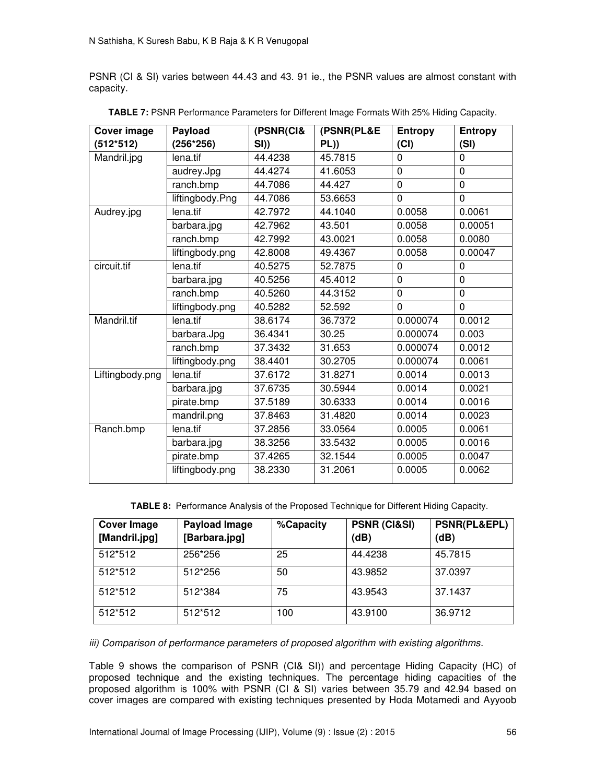PSNR (CI & SI) varies between 44.43 and 43. 91 ie., the PSNR values are almost constant with capacity.

| <b>Cover image</b> | Payload         | (PSNR(CI& | (PSNR(PL&E | Entropy        | <b>Entropy</b> |
|--------------------|-----------------|-----------|------------|----------------|----------------|
| $(512*512)$        | $(256*256)$     | SI)       | PL)        | (Cl)           | (SI)           |
| Mandril.jpg        | lena.tif        | 44.4238   | 45.7815    | $\Omega$       | $\mathbf 0$    |
|                    | audrey.Jpg      | 44.4274   | 41.6053    | $\mathbf 0$    | $\mathbf 0$    |
|                    | ranch.bmp       | 44.7086   | 44.427     | $\overline{0}$ | $\mathbf 0$    |
|                    | liftingbody.Png | 44.7086   | 53.6653    | $\mathbf 0$    | $\mathbf 0$    |
| Audrey.jpg         | lena.tif        | 42.7972   | 44.1040    | 0.0058         | 0.0061         |
|                    | barbara.jpg     | 42.7962   | 43.501     | 0.0058         | 0.00051        |
|                    | ranch.bmp       | 42.7992   | 43.0021    | 0.0058         | 0.0080         |
|                    | liftingbody.png | 42.8008   | 49.4367    | 0.0058         | 0.00047        |
| circuit.tif        | lena.tif        | 40.5275   | 52.7875    | 0              | 0              |
|                    | barbara.jpg     | 40.5256   | 45.4012    | $\mathbf 0$    | $\mathbf 0$    |
|                    | ranch.bmp       | 40.5260   | 44.3152    | $\mathbf 0$    | $\mathbf 0$    |
|                    | liftingbody.png | 40.5282   | 52.592     | $\mathbf 0$    | $\overline{0}$ |
| Mandril.tif        | lena.tif        | 38.6174   | 36.7372    | 0.000074       | 0.0012         |
|                    | barbara.Jpg     | 36.4341   | 30.25      | 0.000074       | 0.003          |
|                    | ranch.bmp       | 37.3432   | 31.653     | 0.000074       | 0.0012         |
|                    | liftingbody.png | 38.4401   | 30.2705    | 0.000074       | 0.0061         |
| Liftingbody.png    | lena.tif        | 37.6172   | 31.8271    | 0.0014         | 0.0013         |
|                    | barbara.jpg     | 37.6735   | 30.5944    | 0.0014         | 0.0021         |
|                    | pirate.bmp      | 37.5189   | 30.6333    | 0.0014         | 0.0016         |
|                    | mandril.png     | 37.8463   | 31.4820    | 0.0014         | 0.0023         |
| Ranch.bmp          | lena.tif        | 37.2856   | 33.0564    | 0.0005         | 0.0061         |
|                    | barbara.jpg     | 38.3256   | 33.5432    | 0.0005         | 0.0016         |
|                    | pirate.bmp      | 37.4265   | 32.1544    | 0.0005         | 0.0047         |
|                    | liftingbody.png | 38.2330   | 31.2061    | 0.0005         | 0.0062         |

**TABLE 7:** PSNR Performance Parameters for Different Image Formats With 25% Hiding Capacity.

**TABLE 8:** Performance Analysis of the Proposed Technique for Different Hiding Capacity.

| <b>Cover Image</b><br>[Mandril.jpg] | <b>Payload Image</b><br>[Barbara.jpg] | %Capacity | <b>PSNR (CI&amp;SI)</b><br>(dB) | <b>PSNR(PL&amp;EPL)</b><br>(dB) |
|-------------------------------------|---------------------------------------|-----------|---------------------------------|---------------------------------|
| 512*512                             | 256*256                               | 25        | 44.4238                         | 45.7815                         |
| 512*512                             | 512*256                               | 50        | 43.9852                         | 37.0397                         |
| 512*512                             | 512*384                               | 75        | 43.9543                         | 37.1437                         |
| 512*512                             | 512*512                               | 100       | 43.9100                         | 36.9712                         |

*iii) Comparison of performance parameters of proposed algorithm with existing algorithms.* 

Table 9 shows the comparison of PSNR (CI& SI)) and percentage Hiding Capacity (HC) of proposed technique and the existing techniques. The percentage hiding capacities of the proposed algorithm is 100% with PSNR (CI & SI) varies between 35.79 and 42.94 based on cover images are compared with existing techniques presented by Hoda Motamedi and Ayyoob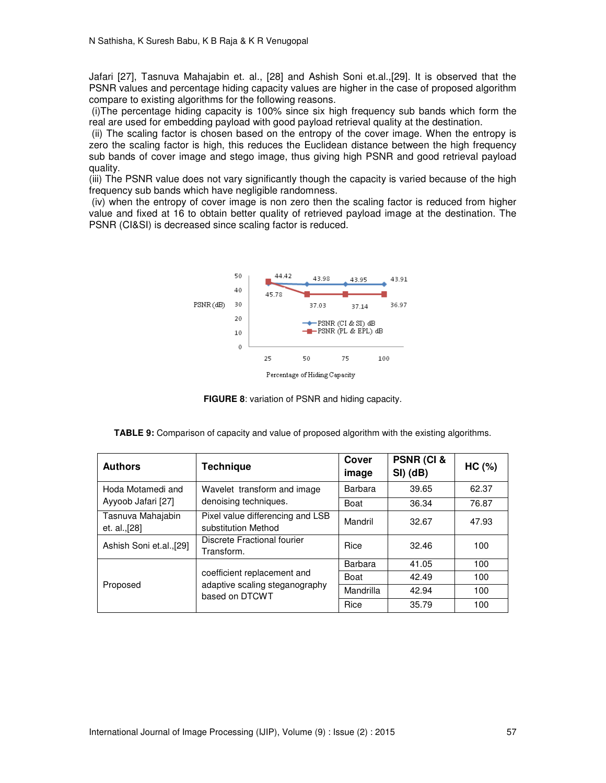Jafari [27], Tasnuva Mahajabin et. al., [28] and Ashish Soni et.al.,[29]. It is observed that the PSNR values and percentage hiding capacity values are higher in the case of proposed algorithm compare to existing algorithms for the following reasons.

 (i)The percentage hiding capacity is 100% since six high frequency sub bands which form the real are used for embedding payload with good payload retrieval quality at the destination.

 (ii) The scaling factor is chosen based on the entropy of the cover image. When the entropy is zero the scaling factor is high, this reduces the Euclidean distance between the high frequency sub bands of cover image and stego image, thus giving high PSNR and good retrieval payload quality.

(iii) The PSNR value does not vary significantly though the capacity is varied because of the high frequency sub bands which have negligible randomness.

 (iv) when the entropy of cover image is non zero then the scaling factor is reduced from higher value and fixed at 16 to obtain better quality of retrieved payload image at the destination. The PSNR (CI&SI) is decreased since scaling factor is reduced.



**FIGURE 8**: variation of PSNR and hiding capacity.

|  |  |  | TABLE 9: Comparison of capacity and value of proposed algorithm with the existing algorithms. |  |
|--|--|--|-----------------------------------------------------------------------------------------------|--|
|  |  |  |                                                                                               |  |

| <b>Authors</b>                     | <b>Technique</b>                                                                | Cover<br>image | PSNR (CI &<br>$SI)$ (dB) | HC (%) |
|------------------------------------|---------------------------------------------------------------------------------|----------------|--------------------------|--------|
| Hoda Motamedi and                  | Wavelet transform and image                                                     | Barbara        | 39.65                    | 62.37  |
| Ayyoob Jafari [27]                 | denoising techniques.                                                           | Boat           | 36.34                    | 76.87  |
| Tasnuva Mahajabin<br>et. al., [28] | Pixel value differencing and LSB<br>substitution Method                         | Mandril        | 32.67                    | 47.93  |
| Ashish Soni et.al.,[29]            | Discrete Fractional fourier<br>Transform.                                       | Rice           | 32.46                    | 100    |
| Proposed                           |                                                                                 | Barbara        | 41.05                    | 100    |
|                                    | coefficient replacement and<br>adaptive scaling steganography<br>based on DTCWT | Boat           | 42.49                    | 100    |
|                                    |                                                                                 | Mandrilla      | 42.94                    | 100    |
|                                    |                                                                                 | Rice           | 35.79                    | 100    |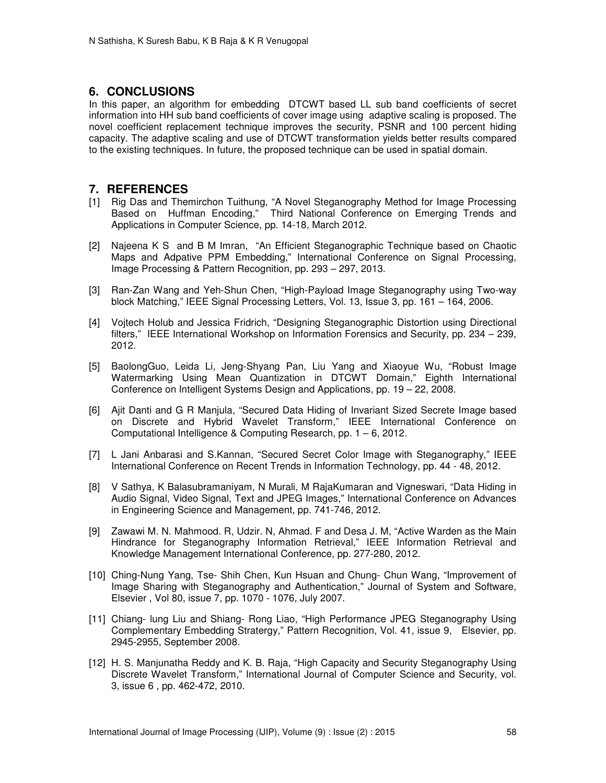# **6. CONCLUSIONS**

In this paper, an algorithm for embedding DTCWT based LL sub band coefficients of secret information into HH sub band coefficients of cover image using adaptive scaling is proposed. The novel coefficient replacement technique improves the security, PSNR and 100 percent hiding capacity. The adaptive scaling and use of DTCWT transformation yields better results compared to the existing techniques. In future, the proposed technique can be used in spatial domain.

# **7. REFERENCES**

- [1] Rig Das and Themirchon Tuithung, "A Novel Steganography Method for Image Processing Based on Huffman Encoding," Third National Conference on Emerging Trends and Applications in Computer Science, pp. 14-18, March 2012.
- [2] Najeena K S and B M Imran, "An Efficient Steganographic Technique based on Chaotic Maps and Adpative PPM Embedding," International Conference on Signal Processing, Image Processing & Pattern Recognition, pp. 293 – 297, 2013.
- [3] Ran-Zan Wang and Yeh-Shun Chen, "High-Payload Image Steganography using Two-way block Matching," IEEE Signal Processing Letters, Vol. 13, Issue 3, pp. 161 – 164, 2006.
- [4] Vojtech Holub and Jessica Fridrich, "Designing Steganographic Distortion using Directional filters," IEEE International Workshop on Information Forensics and Security, pp. 234 – 239, 2012.
- [5] BaolongGuo, Leida Li, Jeng-Shyang Pan, Liu Yang and Xiaoyue Wu, "Robust Image Watermarking Using Mean Quantization in DTCWT Domain," Eighth International Conference on Intelligent Systems Design and Applications, pp. 19 – 22, 2008.
- [6] Ajit Danti and G R Manjula, "Secured Data Hiding of Invariant Sized Secrete Image based on Discrete and Hybrid Wavelet Transform," IEEE International Conference on Computational Intelligence & Computing Research, pp. 1 – 6, 2012.
- [7] L Jani Anbarasi and S.Kannan, "Secured Secret Color Image with Steganography," IEEE International Conference on Recent Trends in Information Technology, pp. 44 - 48, 2012.
- [8] V Sathya, K Balasubramaniyam, N Murali, M RajaKumaran and Vigneswari, "Data Hiding in Audio Signal, Video Signal, Text and JPEG Images," International Conference on Advances in Engineering Science and Management, pp. 741-746, 2012.
- [9] Zawawi M. N. Mahmood. R, Udzir. N, Ahmad. F and Desa J. M, "Active Warden as the Main Hindrance for Steganography Information Retrieval," IEEE Information Retrieval and Knowledge Management International Conference, pp. 277-280, 2012.
- [10] Ching-Nung Yang, Tse- Shih Chen, Kun Hsuan and Chung- Chun Wang, "Improvement of Image Sharing with Steganography and Authentication," Journal of System and Software, Elsevier , Vol 80, issue 7, pp. 1070 - 1076, July 2007.
- [11] Chiang- lung Liu and Shiang- Rong Liao, "High Performance JPEG Steganography Using Complementary Embedding Stratergy," Pattern Recognition, Vol. 41, issue 9, Elsevier, pp. 2945-2955, September 2008.
- [12] H. S. Manjunatha Reddy and K. B. Raja, "High Capacity and Security Steganography Using Discrete Wavelet Transform," International Journal of Computer Science and Security, vol. 3, issue 6 , pp. 462-472, 2010.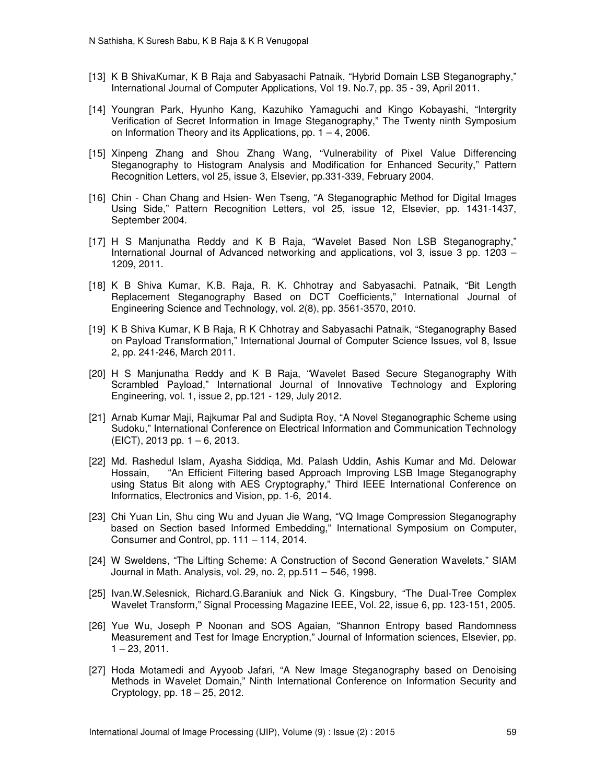- [13] K B ShivaKumar, K B Raja and Sabyasachi Patnaik, "Hybrid Domain LSB Steganography," International Journal of Computer Applications, Vol 19. No.7, pp. 35 - 39, April 2011.
- [14] Youngran Park, Hyunho Kang, Kazuhiko Yamaguchi and Kingo Kobayashi, "Intergrity Verification of Secret Information in Image Steganography," The Twenty ninth Symposium on Information Theory and its Applications, pp.  $1 - 4$ , 2006.
- [15] Xinpeng Zhang and Shou Zhang Wang, "Vulnerability of Pixel Value Differencing Steganography to Histogram Analysis and Modification for Enhanced Security," Pattern Recognition Letters, vol 25, issue 3, Elsevier, pp.331-339, February 2004.
- [16] Chin Chan Chang and Hsien- Wen Tseng, "A Steganographic Method for Digital Images Using Side," Pattern Recognition Letters, vol 25, issue 12, Elsevier, pp. 1431-1437, September 2004.
- [17] H S Manjunatha Reddy and K B Raja, "Wavelet Based Non LSB Steganography," International Journal of Advanced networking and applications, vol 3, issue 3 pp. 1203 – 1209, 2011.
- [18] K B Shiva Kumar, K.B. Raja, R. K. Chhotray and Sabyasachi. Patnaik, "Bit Length Replacement Steganography Based on DCT Coefficients," International Journal of Engineering Science and Technology, vol. 2(8), pp. 3561-3570, 2010.
- [19] K B Shiva Kumar, K B Raja, R K Chhotray and Sabyasachi Patnaik, "Steganography Based on Payload Transformation," International Journal of Computer Science Issues, vol 8, Issue 2, pp. 241-246, March 2011.
- [20] H S Manjunatha Reddy and K B Raja, "Wavelet Based Secure Steganography With Scrambled Payload," International Journal of Innovative Technology and Exploring Engineering, vol. 1, issue 2, pp.121 - 129, July 2012.
- [21] Arnab Kumar Maji, Rajkumar Pal and Sudipta Roy, "A Novel Steganographic Scheme using Sudoku," International Conference on Electrical Information and Communication Technology (EICT), 2013 pp. 1 – 6, 2013.
- [22] Md. Rashedul Islam, Ayasha Siddiqa, Md. Palash Uddin, Ashis Kumar and Md. Delowar Hossain, "An Efficient Filtering based Approach Improving LSB Image Steganography using Status Bit along with AES Cryptography," Third IEEE International Conference on Informatics, Electronics and Vision, pp. 1-6, 2014.
- [23] Chi Yuan Lin, Shu cing Wu and Jyuan Jie Wang, "VQ Image Compression Steganography based on Section based Informed Embedding," International Symposium on Computer, Consumer and Control, pp. 111 – 114, 2014.
- [24] W Sweldens, "The Lifting Scheme: A Construction of Second Generation Wavelets," SIAM Journal in Math. Analysis, vol. 29, no. 2, pp.511 – 546, 1998.
- [25] Ivan.W.Selesnick, Richard.G.Baraniuk and Nick G. Kingsbury, "The Dual-Tree Complex Wavelet Transform," Signal Processing Magazine IEEE, Vol. 22, issue 6, pp. 123-151, 2005.
- [26] Yue Wu, Joseph P Noonan and SOS Agaian, "Shannon Entropy based Randomness Measurement and Test for Image Encryption," Journal of Information sciences, Elsevier, pp.  $1 - 23$ , 2011.
- [27] Hoda Motamedi and Ayyoob Jafari, "A New Image Steganography based on Denoising Methods in Wavelet Domain," Ninth International Conference on Information Security and Cryptology, pp. 18 – 25, 2012.